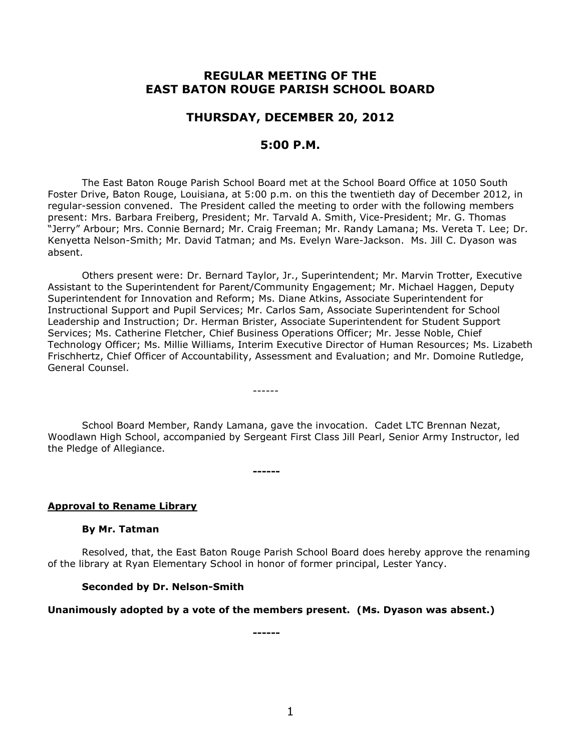# **REGULAR MEETING OF THE EAST BATON ROUGE PARISH SCHOOL BOARD**

## **THURSDAY, DECEMBER 20, 2012**

## **5:00 P.M.**

The East Baton Rouge Parish School Board met at the School Board Office at 1050 South Foster Drive, Baton Rouge, Louisiana, at 5:00 p.m. on this the twentieth day of December 2012, in regular-session convened. The President called the meeting to order with the following members present: Mrs. Barbara Freiberg, President; Mr. Tarvald A. Smith, Vice-President; Mr. G. Thomas "Jerry" Arbour; Mrs. Connie Bernard; Mr. Craig Freeman; Mr. Randy Lamana; Ms. Vereta T. Lee; Dr. Kenyetta Nelson-Smith; Mr. David Tatman; and Ms. Evelyn Ware-Jackson. Ms. Jill C. Dyason was absent.

Others present were: Dr. Bernard Taylor, Jr., Superintendent; Mr. Marvin Trotter, Executive Assistant to the Superintendent for Parent/Community Engagement; Mr. Michael Haggen, Deputy Superintendent for Innovation and Reform; Ms. Diane Atkins, Associate Superintendent for Instructional Support and Pupil Services; Mr. Carlos Sam, Associate Superintendent for School Leadership and Instruction; Dr. Herman Brister, Associate Superintendent for Student Support Services; Ms. Catherine Fletcher, Chief Business Operations Officer; Mr. Jesse Noble, Chief Technology Officer; Ms. Millie Williams, Interim Executive Director of Human Resources; Ms. Lizabeth Frischhertz, Chief Officer of Accountability, Assessment and Evaluation; and Mr. Domoine Rutledge, General Counsel.

School Board Member, Randy Lamana, gave the invocation. Cadet LTC Brennan Nezat, Woodlawn High School, accompanied by Sergeant First Class Jill Pearl, Senior Army Instructor, led the Pledge of Allegiance.

------

**------**

## **Approval to Rename Library**

#### **By Mr. Tatman**

Resolved, that, the East Baton Rouge Parish School Board does hereby approve the renaming of the library at Ryan Elementary School in honor of former principal, Lester Yancy.

#### **Seconded by Dr. Nelson-Smith**

#### **Unanimously adopted by a vote of the members present. (Ms. Dyason was absent.)**

**------**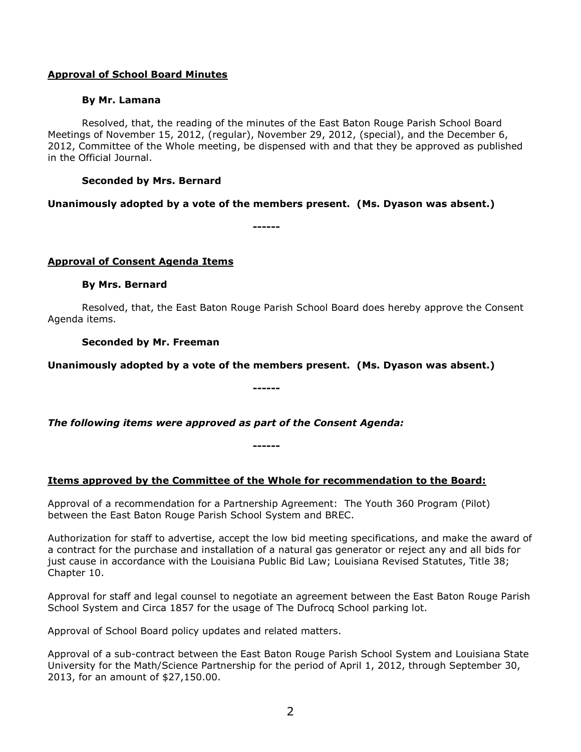## **Approval of School Board Minutes**

### **By Mr. Lamana**

Resolved, that, the reading of the minutes of the East Baton Rouge Parish School Board Meetings of November 15, 2012, (regular), November 29, 2012, (special), and the December 6, 2012, Committee of the Whole meeting, be dispensed with and that they be approved as published in the Official Journal.

## **Seconded by Mrs. Bernard**

**Unanimously adopted by a vote of the members present. (Ms. Dyason was absent.)**

**------**

## **Approval of Consent Agenda Items**

### **By Mrs. Bernard**

Resolved, that, the East Baton Rouge Parish School Board does hereby approve the Consent Agenda items.

**Seconded by Mr. Freeman**

**Unanimously adopted by a vote of the members present. (Ms. Dyason was absent.)**

**------**

*The following items were approved as part of the Consent Agenda:*

## **Items approved by the Committee of the Whole for recommendation to the Board:**

**------**

Approval of a recommendation for a Partnership Agreement: The Youth 360 Program (Pilot) between the East Baton Rouge Parish School System and BREC.

Authorization for staff to advertise, accept the low bid meeting specifications, and make the award of a contract for the purchase and installation of a natural gas generator or reject any and all bids for just cause in accordance with the Louisiana Public Bid Law; Louisiana Revised Statutes, Title 38; Chapter 10.

Approval for staff and legal counsel to negotiate an agreement between the East Baton Rouge Parish School System and Circa 1857 for the usage of The Dufrocq School parking lot.

Approval of School Board policy updates and related matters.

Approval of a sub-contract between the East Baton Rouge Parish School System and Louisiana State University for the Math/Science Partnership for the period of April 1, 2012, through September 30, 2013, for an amount of \$27,150.00.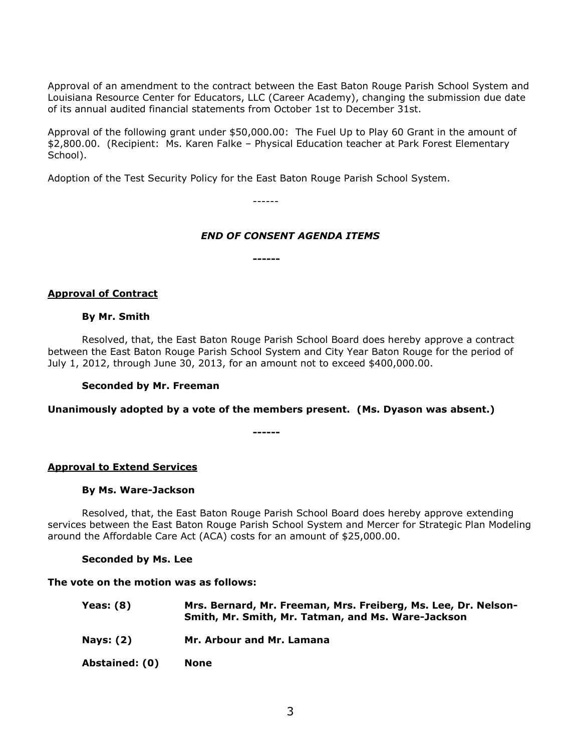Approval of an amendment to the contract between the East Baton Rouge Parish School System and Louisiana Resource Center for Educators, LLC (Career Academy), changing the submission due date of its annual audited financial statements from October 1st to December 31st.

Approval of the following grant under \$50,000.00: The Fuel Up to Play 60 Grant in the amount of \$2,800.00. (Recipient: Ms. Karen Falke – Physical Education teacher at Park Forest Elementary School).

Adoption of the Test Security Policy for the East Baton Rouge Parish School System.

------

### *END OF CONSENT AGENDA ITEMS*

**------**

#### **Approval of Contract**

#### **By Mr. Smith**

Resolved, that, the East Baton Rouge Parish School Board does hereby approve a contract between the East Baton Rouge Parish School System and City Year Baton Rouge for the period of July 1, 2012, through June 30, 2013, for an amount not to exceed \$400,000.00.

#### **Seconded by Mr. Freeman**

**Unanimously adopted by a vote of the members present. (Ms. Dyason was absent.)**

**------**

### **Approval to Extend Services**

#### **By Ms. Ware-Jackson**

Resolved, that, the East Baton Rouge Parish School Board does hereby approve extending services between the East Baton Rouge Parish School System and Mercer for Strategic Plan Modeling around the Affordable Care Act (ACA) costs for an amount of \$25,000.00.

#### **Seconded by Ms. Lee**

#### **The vote on the motion was as follows:**

- **Yeas: (8) Mrs. Bernard, Mr. Freeman, Mrs. Freiberg, Ms. Lee, Dr. Nelson-Smith, Mr. Smith, Mr. Tatman, and Ms. Ware-Jackson**
- **Nays: (2) Mr. Arbour and Mr. Lamana**

**Abstained: (0) None**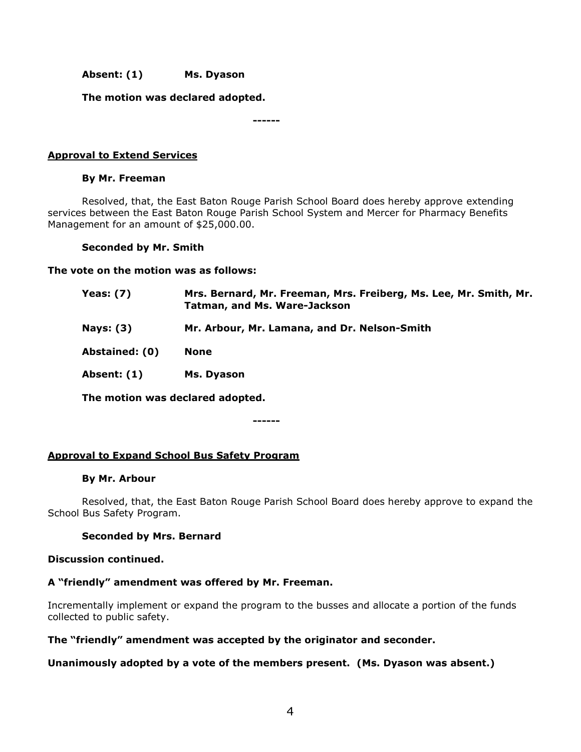**Absent: (1) Ms. Dyason**

**The motion was declared adopted.**

**------**

## **Approval to Extend Services**

### **By Mr. Freeman**

Resolved, that, the East Baton Rouge Parish School Board does hereby approve extending services between the East Baton Rouge Parish School System and Mercer for Pharmacy Benefits Management for an amount of \$25,000.00.

### **Seconded by Mr. Smith**

**The vote on the motion was as follows:**

| Yeas: $(7)$    | Mrs. Bernard, Mr. Freeman, Mrs. Freiberg, Ms. Lee, Mr. Smith, Mr.<br><b>Tatman, and Ms. Ware-Jackson</b> |
|----------------|----------------------------------------------------------------------------------------------------------|
| Nays: $(3)$    | Mr. Arbour, Mr. Lamana, and Dr. Nelson-Smith                                                             |
| Abstained: (0) | <b>None</b>                                                                                              |
| Absent: (1)    | Ms. Dyason                                                                                               |
|                |                                                                                                          |

**The motion was declared adopted.**

**------**

### **Approval to Expand School Bus Safety Program**

#### **By Mr. Arbour**

Resolved, that, the East Baton Rouge Parish School Board does hereby approve to expand the School Bus Safety Program.

### **Seconded by Mrs. Bernard**

#### **Discussion continued.**

### **A "friendly" amendment was offered by Mr. Freeman.**

Incrementally implement or expand the program to the busses and allocate a portion of the funds collected to public safety.

### **The "friendly" amendment was accepted by the originator and seconder.**

### **Unanimously adopted by a vote of the members present. (Ms. Dyason was absent.)**